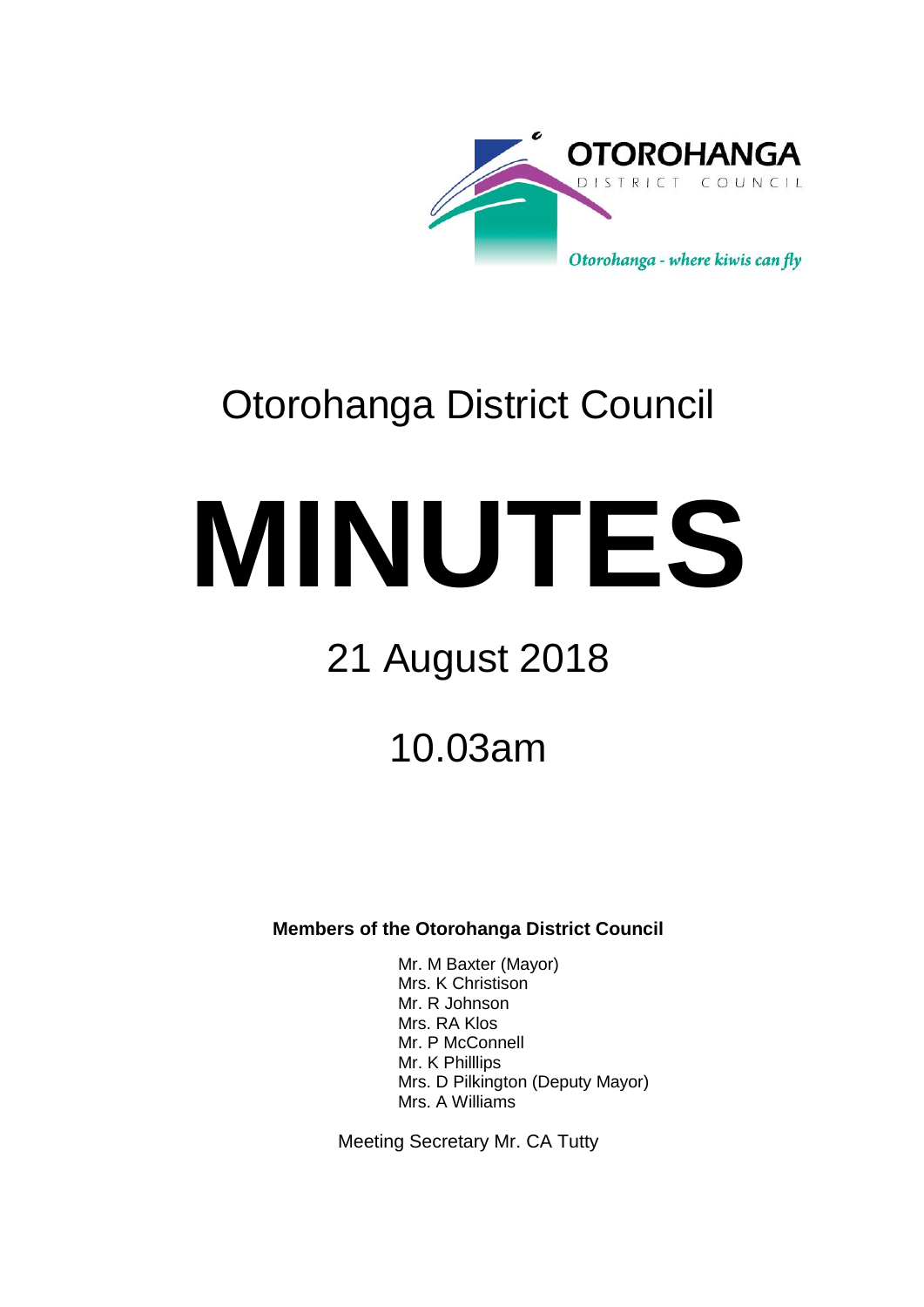

# Otorohanga District Council

# **MINUTES**

# 21 August 2018

10.03am

**Members of the Otorohanga District Council**

Mr. M Baxter (Mayor) Mrs. K Christison Mr. R Johnson Mrs. RA Klos Mr. P McConnell Mr. K Philllips Mrs. D Pilkington (Deputy Mayor) Mrs. A Williams

Meeting Secretary Mr. CA Tutty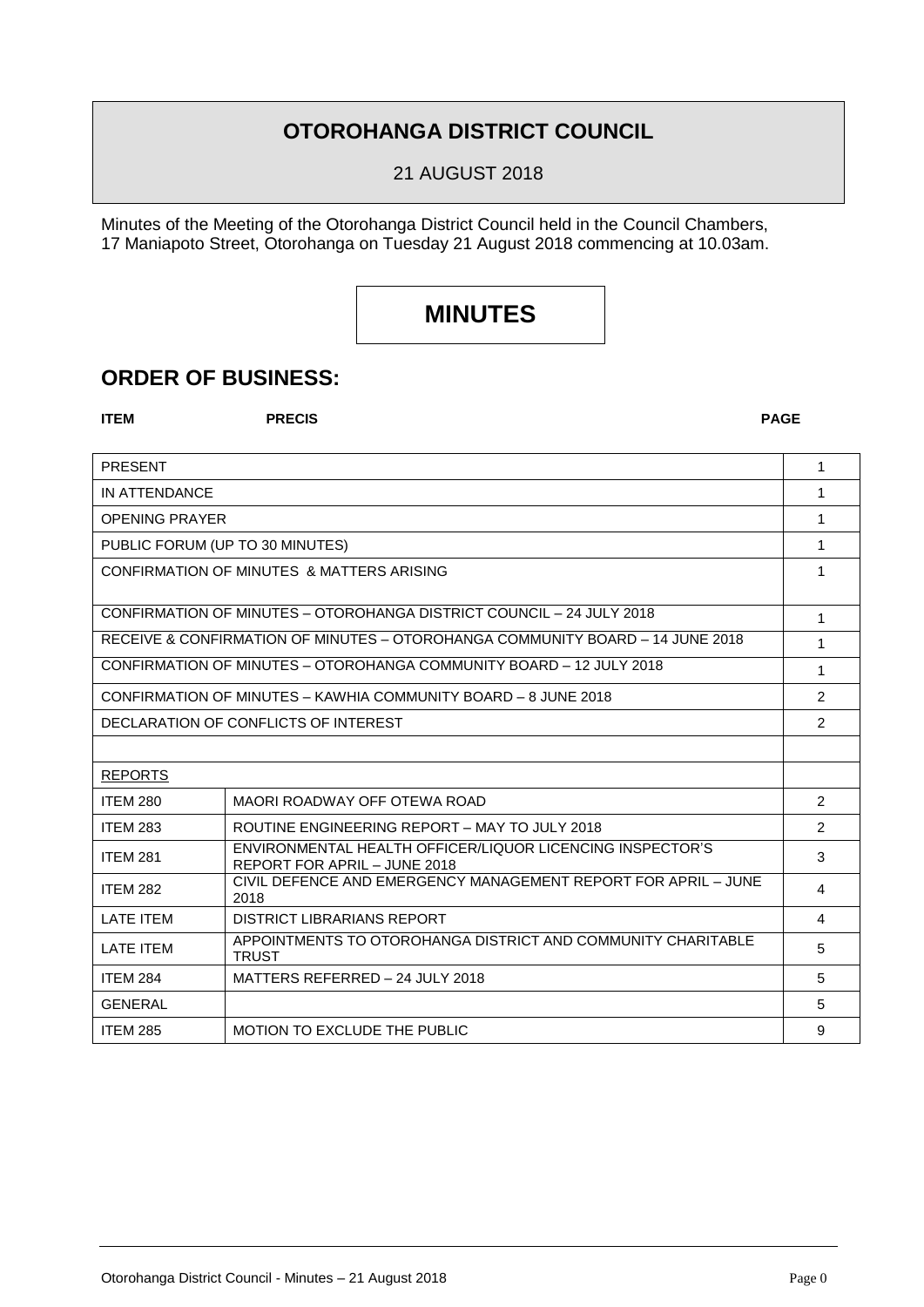## **OTOROHANGA DISTRICT COUNCIL**

21 AUGUST 2018

Minutes of the Meeting of the Otorohanga District Council held in the Council Chambers, 17 Maniapoto Street, Otorohanga on Tuesday 21 August 2018 commencing at 10.03am.

# **MINUTES**

## **ORDER OF BUSINESS:**

**ITEM PRECIS PAGE**

| <b>PRESENT</b>                                                                |                                                                                           | 1              |
|-------------------------------------------------------------------------------|-------------------------------------------------------------------------------------------|----------------|
| IN ATTENDANCE                                                                 |                                                                                           | 1              |
| <b>OPENING PRAYER</b>                                                         |                                                                                           | 1              |
| PUBLIC FORUM (UP TO 30 MINUTES)                                               |                                                                                           | 1              |
| CONFIRMATION OF MINUTES & MATTERS ARISING                                     |                                                                                           | 1              |
|                                                                               |                                                                                           |                |
| CONFIRMATION OF MINUTES - OTOROHANGA DISTRICT COUNCIL - 24 JULY 2018          |                                                                                           | $\mathbf{1}$   |
| RECEIVE & CONFIRMATION OF MINUTES – OTOROHANGA COMMUNITY BOARD – 14 JUNE 2018 |                                                                                           | 1              |
| CONFIRMATION OF MINUTES - OTOROHANGA COMMUNITY BOARD - 12 JULY 2018           |                                                                                           | 1              |
| CONFIRMATION OF MINUTES - KAWHIA COMMUNITY BOARD - 8 JUNE 2018                |                                                                                           | $\mathfrak{p}$ |
| DECLARATION OF CONFLICTS OF INTEREST                                          |                                                                                           | 2              |
|                                                                               |                                                                                           |                |
| <b>REPORTS</b>                                                                |                                                                                           |                |
| <b>ITEM 280</b>                                                               | MAORI ROADWAY OFF OTEWA ROAD                                                              | $\mathcal{P}$  |
| <b>ITEM 283</b>                                                               | ROUTINE ENGINEERING REPORT - MAY TO JULY 2018                                             | $\mathcal{P}$  |
| <b>ITEM 281</b>                                                               | ENVIRONMENTAL HEALTH OFFICER/LIQUOR LICENCING INSPECTOR'S<br>REPORT FOR APRIL - JUNE 2018 | 3              |
| <b>ITEM 282</b>                                                               | CIVIL DEFENCE AND EMERGENCY MANAGEMENT REPORT FOR APRIL - JUNE<br>2018                    | 4              |
| LATE ITEM                                                                     | <b>DISTRICT LIBRARIANS REPORT</b>                                                         | 4              |
| LATE ITEM                                                                     | APPOINTMENTS TO OTOROHANGA DISTRICT AND COMMUNITY CHARITABLE<br><b>TRUST</b>              | 5              |
| <b>ITEM 284</b>                                                               | MATTERS REFERRED - 24 JULY 2018                                                           | 5              |
| <b>GENERAL</b>                                                                |                                                                                           | 5              |
| <b>ITEM 285</b>                                                               | MOTION TO EXCLUDE THE PUBLIC                                                              | 9              |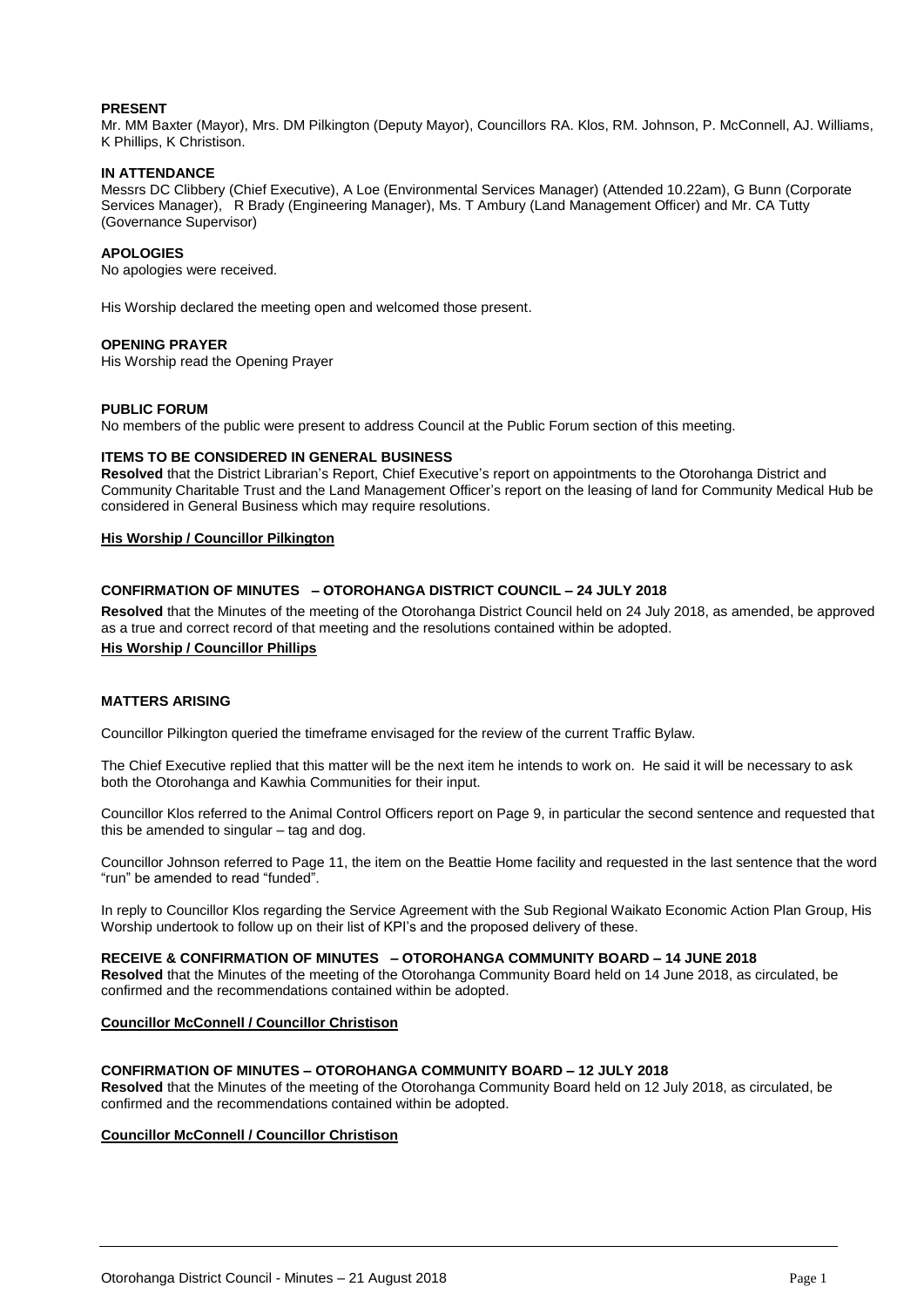#### **PRESENT**

Mr. MM Baxter (Mayor), Mrs. DM Pilkington (Deputy Mayor), Councillors RA. Klos, RM. Johnson, P. McConnell, AJ. Williams, K Phillips, K Christison.

#### **IN ATTENDANCE**

Messrs DC Clibbery (Chief Executive), A Loe (Environmental Services Manager) (Attended 10.22am), G Bunn (Corporate Services Manager), R Brady (Engineering Manager), Ms. T Ambury (Land Management Officer) and Mr. CA Tutty (Governance Supervisor)

#### **APOLOGIES**

No apologies were received.

His Worship declared the meeting open and welcomed those present.

#### **OPENING PRAYER**

His Worship read the Opening Prayer

#### **PUBLIC FORUM**

No members of the public were present to address Council at the Public Forum section of this meeting.

#### **ITEMS TO BE CONSIDERED IN GENERAL BUSINESS**

**Resolved** that the District Librarian's Report, Chief Executive's report on appointments to the Otorohanga District and Community Charitable Trust and the Land Management Officer's report on the leasing of land for Community Medical Hub be considered in General Business which may require resolutions.

#### **His Worship / Councillor Pilkington**

#### **CONFIRMATION OF MINUTES – OTOROHANGA DISTRICT COUNCIL – 24 JULY 2018**

**Resolved** that the Minutes of the meeting of the Otorohanga District Council held on 24 July 2018, as amended, be approved as a true and correct record of that meeting and the resolutions contained within be adopted.

### **His Worship / Councillor Phillips**

#### **MATTERS ARISING**

Councillor Pilkington queried the timeframe envisaged for the review of the current Traffic Bylaw.

The Chief Executive replied that this matter will be the next item he intends to work on. He said it will be necessary to ask both the Otorohanga and Kawhia Communities for their input.

Councillor Klos referred to the Animal Control Officers report on Page 9, in particular the second sentence and requested that this be amended to singular – tag and dog.

Councillor Johnson referred to Page 11, the item on the Beattie Home facility and requested in the last sentence that the word "run" be amended to read "funded".

In reply to Councillor Klos regarding the Service Agreement with the Sub Regional Waikato Economic Action Plan Group, His Worship undertook to follow up on their list of KPI's and the proposed delivery of these.

#### **RECEIVE & CONFIRMATION OF MINUTES – OTOROHANGA COMMUNITY BOARD – 14 JUNE 2018**

**Resolved** that the Minutes of the meeting of the Otorohanga Community Board held on 14 June 2018, as circulated, be confirmed and the recommendations contained within be adopted.

#### **Councillor McConnell / Councillor Christison**

#### **CONFIRMATION OF MINUTES – OTOROHANGA COMMUNITY BOARD – 12 JULY 2018**

**Resolved** that the Minutes of the meeting of the Otorohanga Community Board held on 12 July 2018, as circulated, be confirmed and the recommendations contained within be adopted.

#### **Councillor McConnell / Councillor Christison**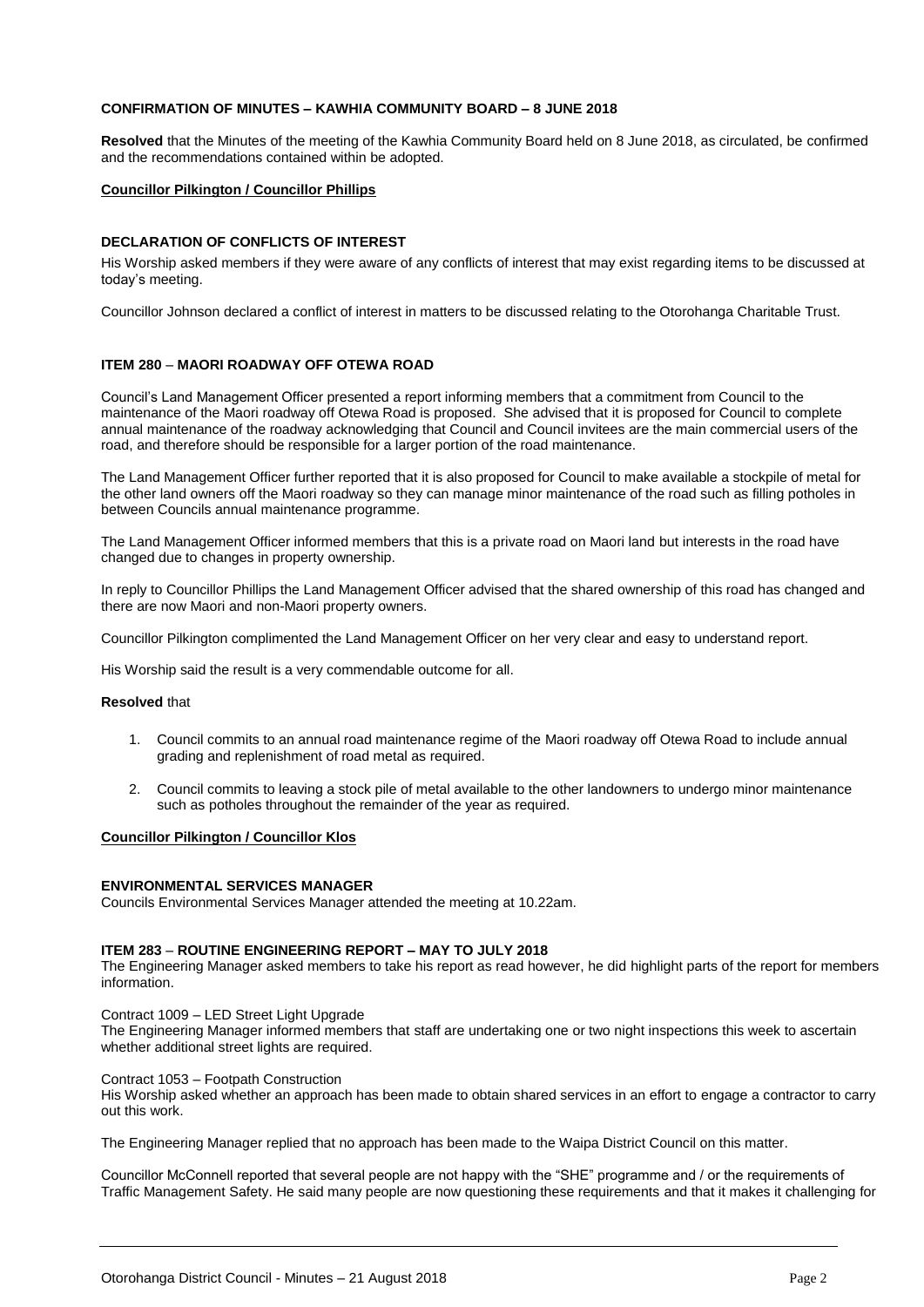#### **CONFIRMATION OF MINUTES – KAWHIA COMMUNITY BOARD – 8 JUNE 2018**

**Resolved** that the Minutes of the meeting of the Kawhia Community Board held on 8 June 2018, as circulated, be confirmed and the recommendations contained within be adopted.

#### **Councillor Pilkington / Councillor Phillips**

#### **DECLARATION OF CONFLICTS OF INTEREST**

His Worship asked members if they were aware of any conflicts of interest that may exist regarding items to be discussed at today's meeting.

Councillor Johnson declared a conflict of interest in matters to be discussed relating to the Otorohanga Charitable Trust.

#### **ITEM 280** – **MAORI ROADWAY OFF OTEWA ROAD**

Council's Land Management Officer presented a report informing members that a commitment from Council to the maintenance of the Maori roadway off Otewa Road is proposed. She advised that it is proposed for Council to complete annual maintenance of the roadway acknowledging that Council and Council invitees are the main commercial users of the road, and therefore should be responsible for a larger portion of the road maintenance.

The Land Management Officer further reported that it is also proposed for Council to make available a stockpile of metal for the other land owners off the Maori roadway so they can manage minor maintenance of the road such as filling potholes in between Councils annual maintenance programme.

The Land Management Officer informed members that this is a private road on Maori land but interests in the road have changed due to changes in property ownership.

In reply to Councillor Phillips the Land Management Officer advised that the shared ownership of this road has changed and there are now Maori and non-Maori property owners.

Councillor Pilkington complimented the Land Management Officer on her very clear and easy to understand report.

His Worship said the result is a very commendable outcome for all.

#### **Resolved** that

- 1. Council commits to an annual road maintenance regime of the Maori roadway off Otewa Road to include annual grading and replenishment of road metal as required.
- 2. Council commits to leaving a stock pile of metal available to the other landowners to undergo minor maintenance such as potholes throughout the remainder of the year as required.

#### **Councillor Pilkington / Councillor Klos**

#### **ENVIRONMENTAL SERVICES MANAGER**

Councils Environmental Services Manager attended the meeting at 10.22am.

#### **ITEM 283** – **ROUTINE ENGINEERING REPORT – MAY TO JULY 2018**

The Engineering Manager asked members to take his report as read however, he did highlight parts of the report for members information.

Contract 1009 – LED Street Light Upgrade

The Engineering Manager informed members that staff are undertaking one or two night inspections this week to ascertain whether additional street lights are required.

Contract 1053 – Footpath Construction

His Worship asked whether an approach has been made to obtain shared services in an effort to engage a contractor to carry out this work.

The Engineering Manager replied that no approach has been made to the Waipa District Council on this matter.

Councillor McConnell reported that several people are not happy with the "SHE" programme and / or the requirements of Traffic Management Safety. He said many people are now questioning these requirements and that it makes it challenging for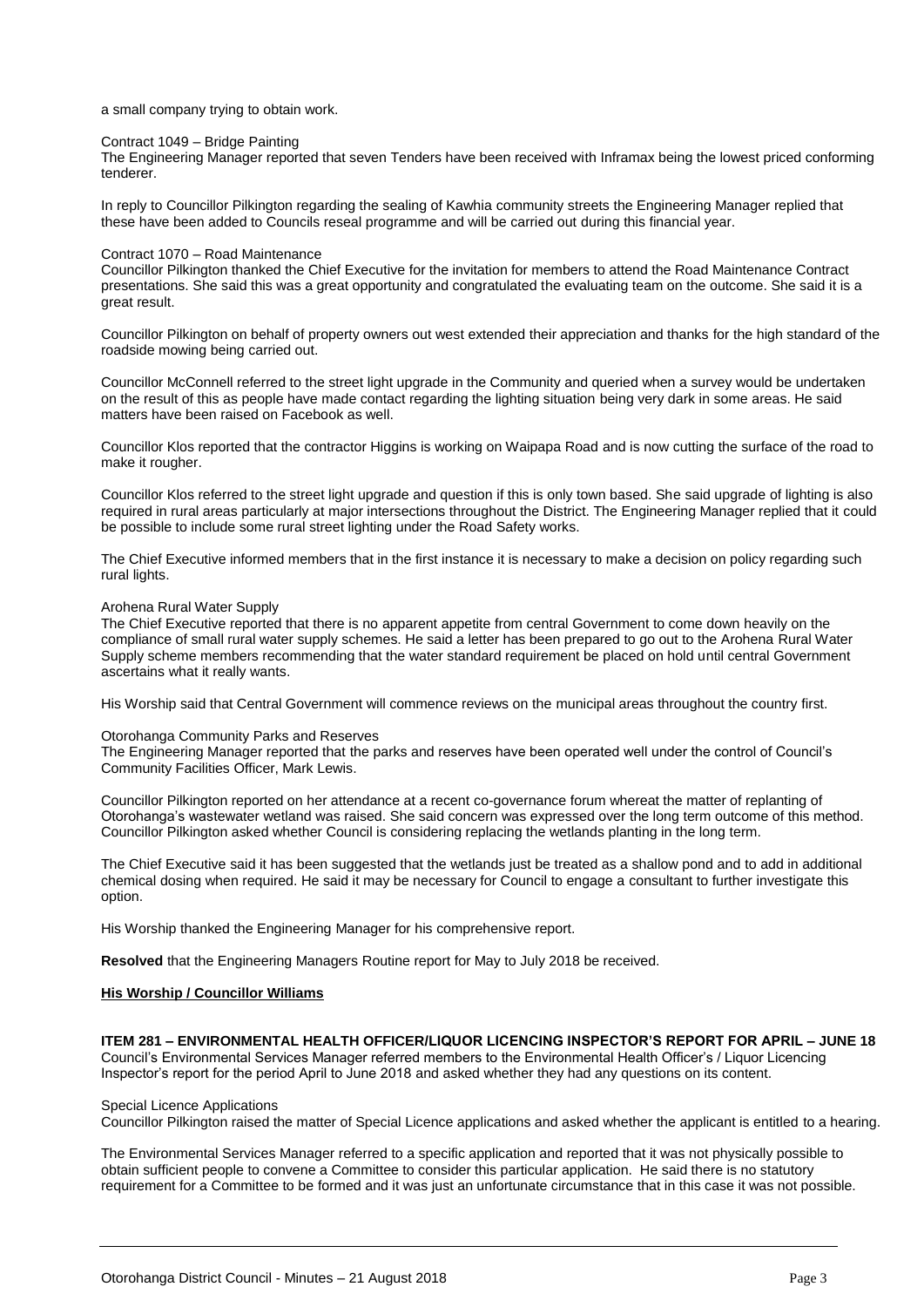a small company trying to obtain work.

#### Contract 1049 – Bridge Painting

The Engineering Manager reported that seven Tenders have been received with Inframax being the lowest priced conforming tenderer.

In reply to Councillor Pilkington regarding the sealing of Kawhia community streets the Engineering Manager replied that these have been added to Councils reseal programme and will be carried out during this financial year.

#### Contract 1070 – Road Maintenance

Councillor Pilkington thanked the Chief Executive for the invitation for members to attend the Road Maintenance Contract presentations. She said this was a great opportunity and congratulated the evaluating team on the outcome. She said it is a great result.

Councillor Pilkington on behalf of property owners out west extended their appreciation and thanks for the high standard of the roadside mowing being carried out.

Councillor McConnell referred to the street light upgrade in the Community and queried when a survey would be undertaken on the result of this as people have made contact regarding the lighting situation being very dark in some areas. He said matters have been raised on Facebook as well.

Councillor Klos reported that the contractor Higgins is working on Waipapa Road and is now cutting the surface of the road to make it rougher.

Councillor Klos referred to the street light upgrade and question if this is only town based. She said upgrade of lighting is also required in rural areas particularly at major intersections throughout the District. The Engineering Manager replied that it could be possible to include some rural street lighting under the Road Safety works.

The Chief Executive informed members that in the first instance it is necessary to make a decision on policy regarding such rural lights.

#### Arohena Rural Water Supply

The Chief Executive reported that there is no apparent appetite from central Government to come down heavily on the compliance of small rural water supply schemes. He said a letter has been prepared to go out to the Arohena Rural Water Supply scheme members recommending that the water standard requirement be placed on hold until central Government ascertains what it really wants.

His Worship said that Central Government will commence reviews on the municipal areas throughout the country first.

#### Otorohanga Community Parks and Reserves

The Engineering Manager reported that the parks and reserves have been operated well under the control of Council's Community Facilities Officer, Mark Lewis.

Councillor Pilkington reported on her attendance at a recent co-governance forum whereat the matter of replanting of Otorohanga's wastewater wetland was raised. She said concern was expressed over the long term outcome of this method. Councillor Pilkington asked whether Council is considering replacing the wetlands planting in the long term.

The Chief Executive said it has been suggested that the wetlands just be treated as a shallow pond and to add in additional chemical dosing when required. He said it may be necessary for Council to engage a consultant to further investigate this option.

His Worship thanked the Engineering Manager for his comprehensive report.

**Resolved** that the Engineering Managers Routine report for May to July 2018 be received.

#### **His Worship / Councillor Williams**

#### **ITEM 281 – ENVIRONMENTAL HEALTH OFFICER/LIQUOR LICENCING INSPECTOR'S REPORT FOR APRIL – JUNE 18**

Council's Environmental Services Manager referred members to the Environmental Health Officer's / Liquor Licencing Inspector's report for the period April to June 2018 and asked whether they had any questions on its content.

#### Special Licence Applications

Councillor Pilkington raised the matter of Special Licence applications and asked whether the applicant is entitled to a hearing.

The Environmental Services Manager referred to a specific application and reported that it was not physically possible to obtain sufficient people to convene a Committee to consider this particular application. He said there is no statutory requirement for a Committee to be formed and it was just an unfortunate circumstance that in this case it was not possible.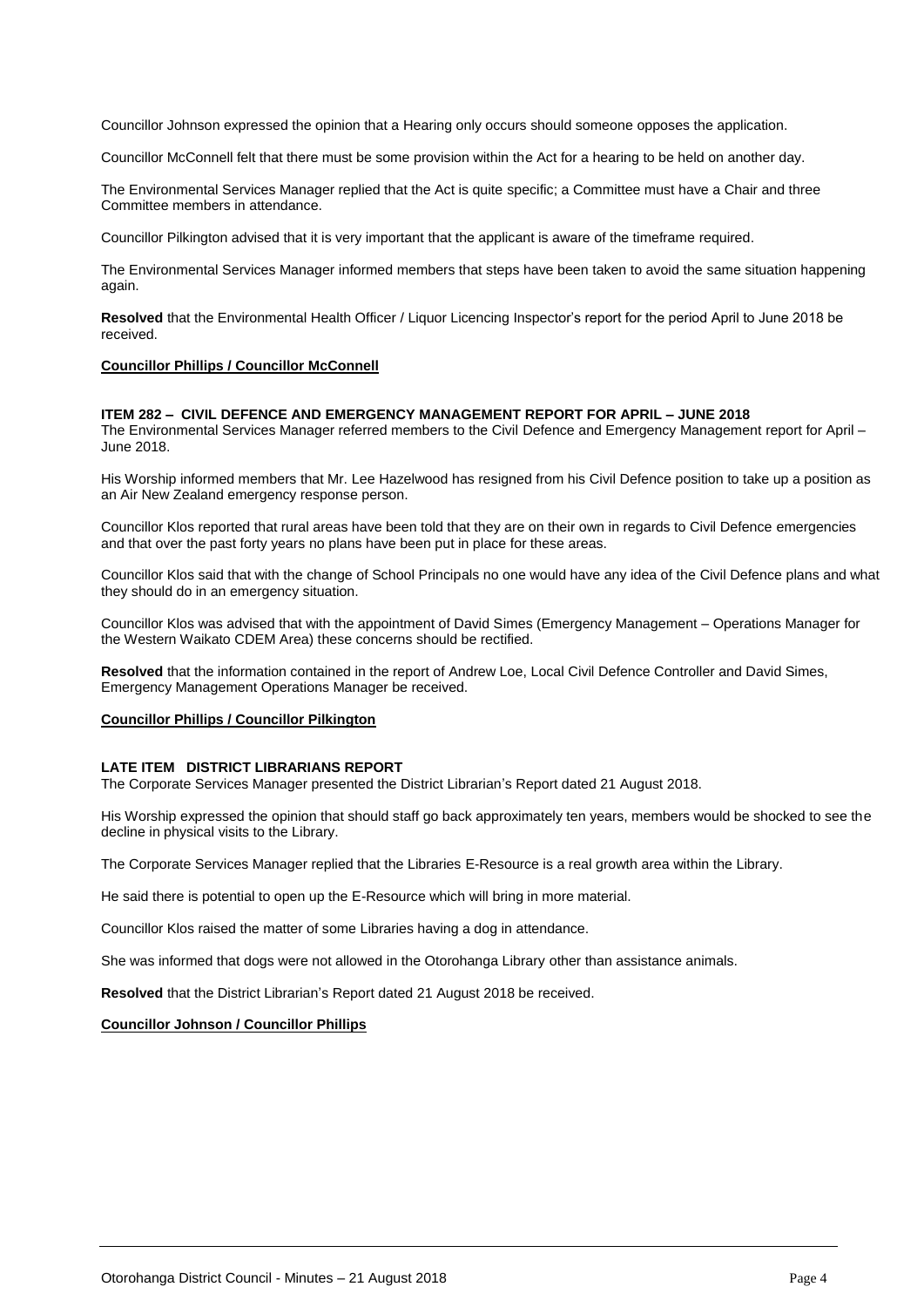Councillor Johnson expressed the opinion that a Hearing only occurs should someone opposes the application.

Councillor McConnell felt that there must be some provision within the Act for a hearing to be held on another day.

The Environmental Services Manager replied that the Act is quite specific; a Committee must have a Chair and three Committee members in attendance.

Councillor Pilkington advised that it is very important that the applicant is aware of the timeframe required.

The Environmental Services Manager informed members that steps have been taken to avoid the same situation happening again.

**Resolved** that the Environmental Health Officer / Liquor Licencing Inspector's report for the period April to June 2018 be received.

#### **Councillor Phillips / Councillor McConnell**

#### **ITEM 282 – CIVIL DEFENCE AND EMERGENCY MANAGEMENT REPORT FOR APRIL – JUNE 2018**

The Environmental Services Manager referred members to the Civil Defence and Emergency Management report for April – June 2018.

His Worship informed members that Mr. Lee Hazelwood has resigned from his Civil Defence position to take up a position as an Air New Zealand emergency response person.

Councillor Klos reported that rural areas have been told that they are on their own in regards to Civil Defence emergencies and that over the past forty years no plans have been put in place for these areas.

Councillor Klos said that with the change of School Principals no one would have any idea of the Civil Defence plans and what they should do in an emergency situation.

Councillor Klos was advised that with the appointment of David Simes (Emergency Management – Operations Manager for the Western Waikato CDEM Area) these concerns should be rectified.

**Resolved** that the information contained in the report of Andrew Loe, Local Civil Defence Controller and David Simes, Emergency Management Operations Manager be received.

#### **Councillor Phillips / Councillor Pilkington**

#### **LATE ITEM DISTRICT LIBRARIANS REPORT**

The Corporate Services Manager presented the District Librarian's Report dated 21 August 2018.

His Worship expressed the opinion that should staff go back approximately ten years, members would be shocked to see the decline in physical visits to the Library.

The Corporate Services Manager replied that the Libraries E-Resource is a real growth area within the Library.

He said there is potential to open up the E-Resource which will bring in more material.

Councillor Klos raised the matter of some Libraries having a dog in attendance.

She was informed that dogs were not allowed in the Otorohanga Library other than assistance animals.

**Resolved** that the District Librarian's Report dated 21 August 2018 be received.

#### **Councillor Johnson / Councillor Phillips**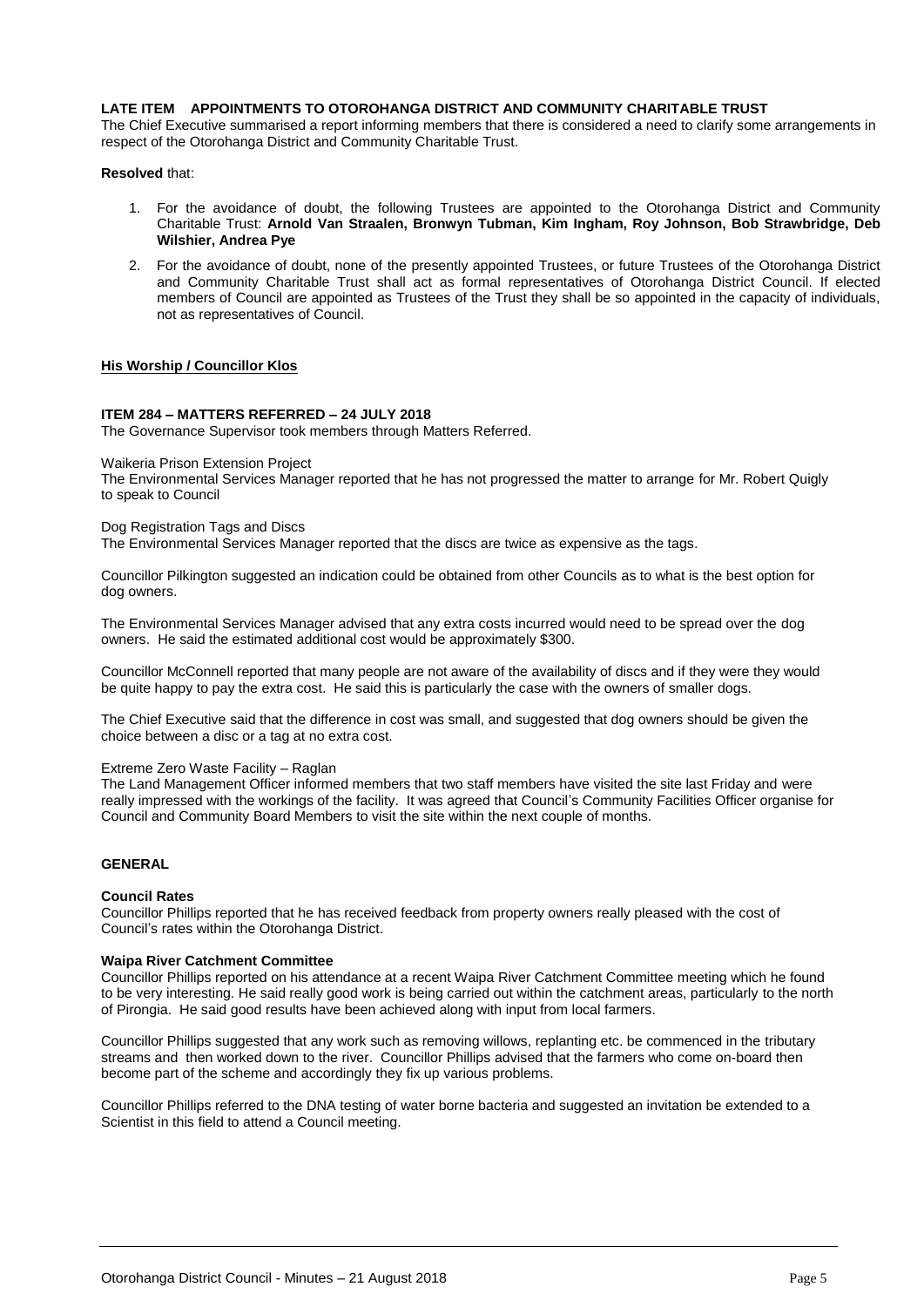#### **LATE ITEM APPOINTMENTS TO OTOROHANGA DISTRICT AND COMMUNITY CHARITABLE TRUST**

The Chief Executive summarised a report informing members that there is considered a need to clarify some arrangements in respect of the Otorohanga District and Community Charitable Trust.

#### **Resolved** that:

- 1. For the avoidance of doubt, the following Trustees are appointed to the Otorohanga District and Community Charitable Trust: **Arnold Van Straalen, Bronwyn Tubman, Kim Ingham, Roy Johnson, Bob Strawbridge, Deb Wilshier, Andrea Pye**
- 2. For the avoidance of doubt, none of the presently appointed Trustees, or future Trustees of the Otorohanga District and Community Charitable Trust shall act as formal representatives of Otorohanga District Council. If elected members of Council are appointed as Trustees of the Trust they shall be so appointed in the capacity of individuals, not as representatives of Council.

#### **His Worship / Councillor Klos**

#### **ITEM 284 – MATTERS REFERRED – 24 JULY 2018**

The Governance Supervisor took members through Matters Referred.

Waikeria Prison Extension Project

The Environmental Services Manager reported that he has not progressed the matter to arrange for Mr. Robert Quigly to speak to Council

#### Dog Registration Tags and Discs

The Environmental Services Manager reported that the discs are twice as expensive as the tags.

Councillor Pilkington suggested an indication could be obtained from other Councils as to what is the best option for dog owners.

The Environmental Services Manager advised that any extra costs incurred would need to be spread over the dog owners. He said the estimated additional cost would be approximately \$300.

Councillor McConnell reported that many people are not aware of the availability of discs and if they were they would be quite happy to pay the extra cost. He said this is particularly the case with the owners of smaller dogs.

The Chief Executive said that the difference in cost was small, and suggested that dog owners should be given the choice between a disc or a tag at no extra cost.

#### Extreme Zero Waste Facility – Raglan

The Land Management Officer informed members that two staff members have visited the site last Friday and were really impressed with the workings of the facility. It was agreed that Council's Community Facilities Officer organise for Council and Community Board Members to visit the site within the next couple of months.

#### **GENERAL**

#### **Council Rates**

Councillor Phillips reported that he has received feedback from property owners really pleased with the cost of Council's rates within the Otorohanga District.

#### **Waipa River Catchment Committee**

Councillor Phillips reported on his attendance at a recent Waipa River Catchment Committee meeting which he found to be very interesting. He said really good work is being carried out within the catchment areas, particularly to the north of Pirongia. He said good results have been achieved along with input from local farmers.

Councillor Phillips suggested that any work such as removing willows, replanting etc. be commenced in the tributary streams and then worked down to the river. Councillor Phillips advised that the farmers who come on-board then become part of the scheme and accordingly they fix up various problems.

Councillor Phillips referred to the DNA testing of water borne bacteria and suggested an invitation be extended to a Scientist in this field to attend a Council meeting.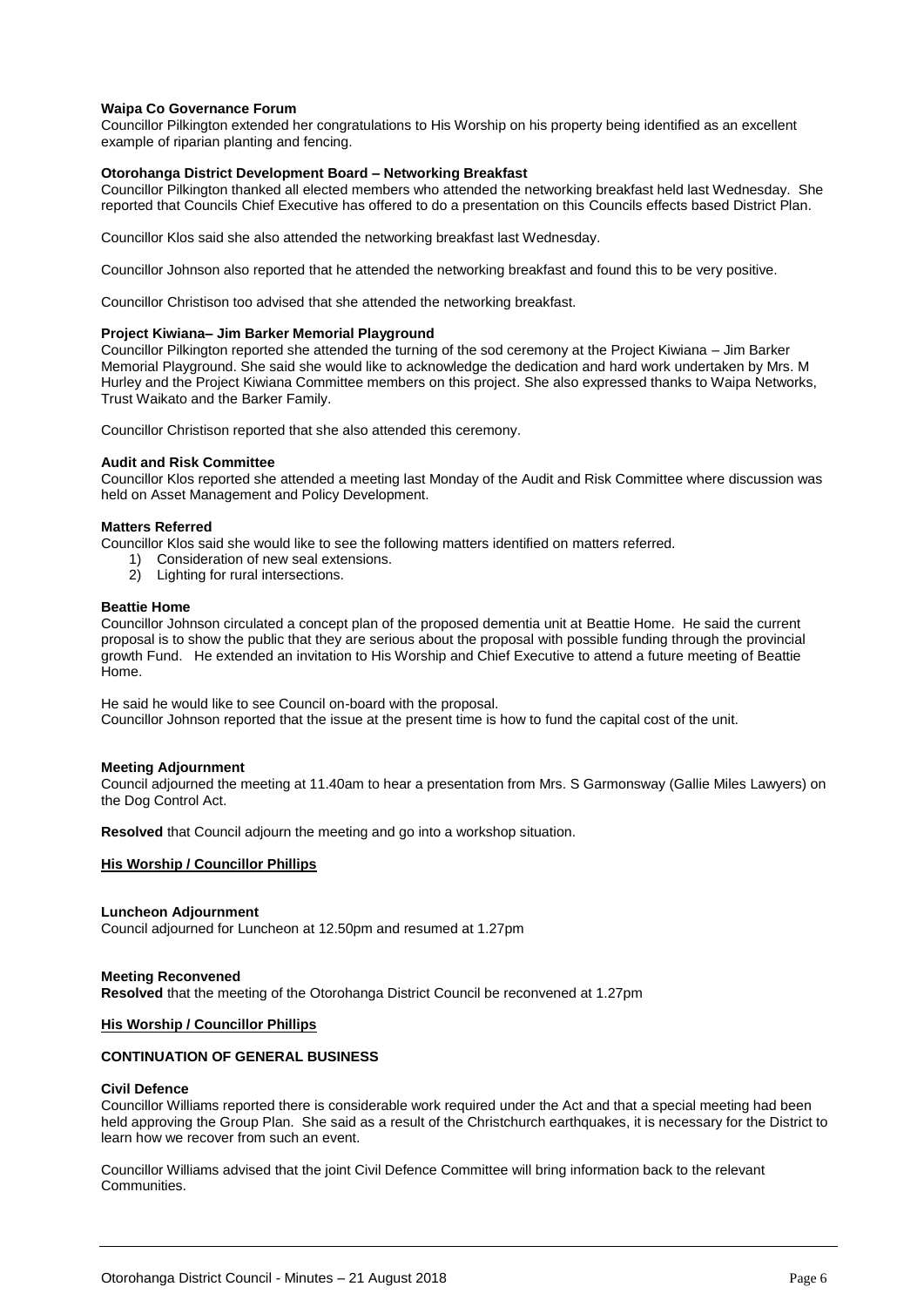#### **Waipa Co Governance Forum**

Councillor Pilkington extended her congratulations to His Worship on his property being identified as an excellent example of riparian planting and fencing.

#### **Otorohanga District Development Board – Networking Breakfast**

Councillor Pilkington thanked all elected members who attended the networking breakfast held last Wednesday. She reported that Councils Chief Executive has offered to do a presentation on this Councils effects based District Plan.

Councillor Klos said she also attended the networking breakfast last Wednesday.

Councillor Johnson also reported that he attended the networking breakfast and found this to be very positive.

Councillor Christison too advised that she attended the networking breakfast.

#### **Project Kiwiana– Jim Barker Memorial Playground**

Councillor Pilkington reported she attended the turning of the sod ceremony at the Project Kiwiana – Jim Barker Memorial Playground. She said she would like to acknowledge the dedication and hard work undertaken by Mrs. M Hurley and the Project Kiwiana Committee members on this project. She also expressed thanks to Waipa Networks, Trust Waikato and the Barker Family.

Councillor Christison reported that she also attended this ceremony.

#### **Audit and Risk Committee**

Councillor Klos reported she attended a meeting last Monday of the Audit and Risk Committee where discussion was held on Asset Management and Policy Development.

#### **Matters Referred**

Councillor Klos said she would like to see the following matters identified on matters referred.

- 1) Consideration of new seal extensions.
- 2) Lighting for rural intersections.

#### **Beattie Home**

Councillor Johnson circulated a concept plan of the proposed dementia unit at Beattie Home. He said the current proposal is to show the public that they are serious about the proposal with possible funding through the provincial growth Fund. He extended an invitation to His Worship and Chief Executive to attend a future meeting of Beattie Home.

He said he would like to see Council on-board with the proposal. Councillor Johnson reported that the issue at the present time is how to fund the capital cost of the unit.

#### **Meeting Adjournment**

Council adjourned the meeting at 11.40am to hear a presentation from Mrs. S Garmonsway (Gallie Miles Lawyers) on the Dog Control Act.

**Resolved** that Council adjourn the meeting and go into a workshop situation.

#### **His Worship / Councillor Phillips**

#### **Luncheon Adjournment**

Council adjourned for Luncheon at 12.50pm and resumed at 1.27pm

#### **Meeting Reconvened**

**Resolved** that the meeting of the Otorohanga District Council be reconvened at 1.27pm

#### **His Worship / Councillor Phillips**

#### **CONTINUATION OF GENERAL BUSINESS**

#### **Civil Defence**

Councillor Williams reported there is considerable work required under the Act and that a special meeting had been held approving the Group Plan. She said as a result of the Christchurch earthquakes, it is necessary for the District to learn how we recover from such an event.

Councillor Williams advised that the joint Civil Defence Committee will bring information back to the relevant Communities.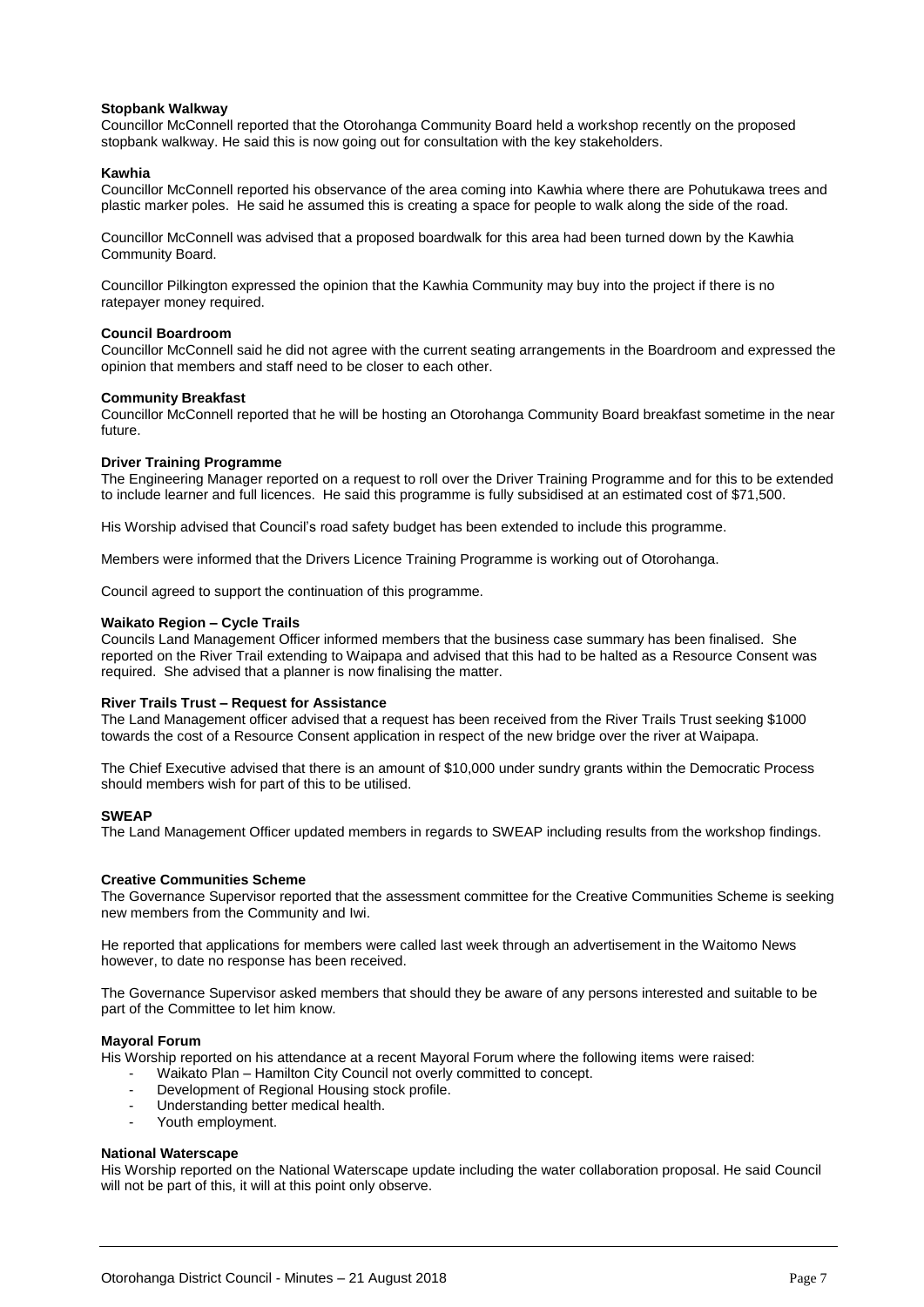#### **Stopbank Walkway**

Councillor McConnell reported that the Otorohanga Community Board held a workshop recently on the proposed stopbank walkway. He said this is now going out for consultation with the key stakeholders.

#### **Kawhia**

Councillor McConnell reported his observance of the area coming into Kawhia where there are Pohutukawa trees and plastic marker poles. He said he assumed this is creating a space for people to walk along the side of the road.

Councillor McConnell was advised that a proposed boardwalk for this area had been turned down by the Kawhia Community Board.

Councillor Pilkington expressed the opinion that the Kawhia Community may buy into the project if there is no ratepayer money required.

#### **Council Boardroom**

Councillor McConnell said he did not agree with the current seating arrangements in the Boardroom and expressed the opinion that members and staff need to be closer to each other.

#### **Community Breakfast**

Councillor McConnell reported that he will be hosting an Otorohanga Community Board breakfast sometime in the near future.

#### **Driver Training Programme**

The Engineering Manager reported on a request to roll over the Driver Training Programme and for this to be extended to include learner and full licences. He said this programme is fully subsidised at an estimated cost of \$71,500.

His Worship advised that Council's road safety budget has been extended to include this programme.

Members were informed that the Drivers Licence Training Programme is working out of Otorohanga.

Council agreed to support the continuation of this programme.

#### **Waikato Region – Cycle Trails**

Councils Land Management Officer informed members that the business case summary has been finalised. She reported on the River Trail extending to Waipapa and advised that this had to be halted as a Resource Consent was required. She advised that a planner is now finalising the matter.

#### **River Trails Trust – Request for Assistance**

The Land Management officer advised that a request has been received from the River Trails Trust seeking \$1000 towards the cost of a Resource Consent application in respect of the new bridge over the river at Waipapa.

The Chief Executive advised that there is an amount of \$10,000 under sundry grants within the Democratic Process should members wish for part of this to be utilised.

#### **SWEAP**

The Land Management Officer updated members in regards to SWEAP including results from the workshop findings.

#### **Creative Communities Scheme**

The Governance Supervisor reported that the assessment committee for the Creative Communities Scheme is seeking new members from the Community and Iwi.

He reported that applications for members were called last week through an advertisement in the Waitomo News however, to date no response has been received.

The Governance Supervisor asked members that should they be aware of any persons interested and suitable to be part of the Committee to let him know.

#### **Mayoral Forum**

His Worship reported on his attendance at a recent Mayoral Forum where the following items were raised:

- Waikato Plan Hamilton City Council not overly committed to concept.
- Development of Regional Housing stock profile.
- Understanding better medical health.
- Youth employment.

#### **National Waterscape**

His Worship reported on the National Waterscape update including the water collaboration proposal. He said Council will not be part of this, it will at this point only observe.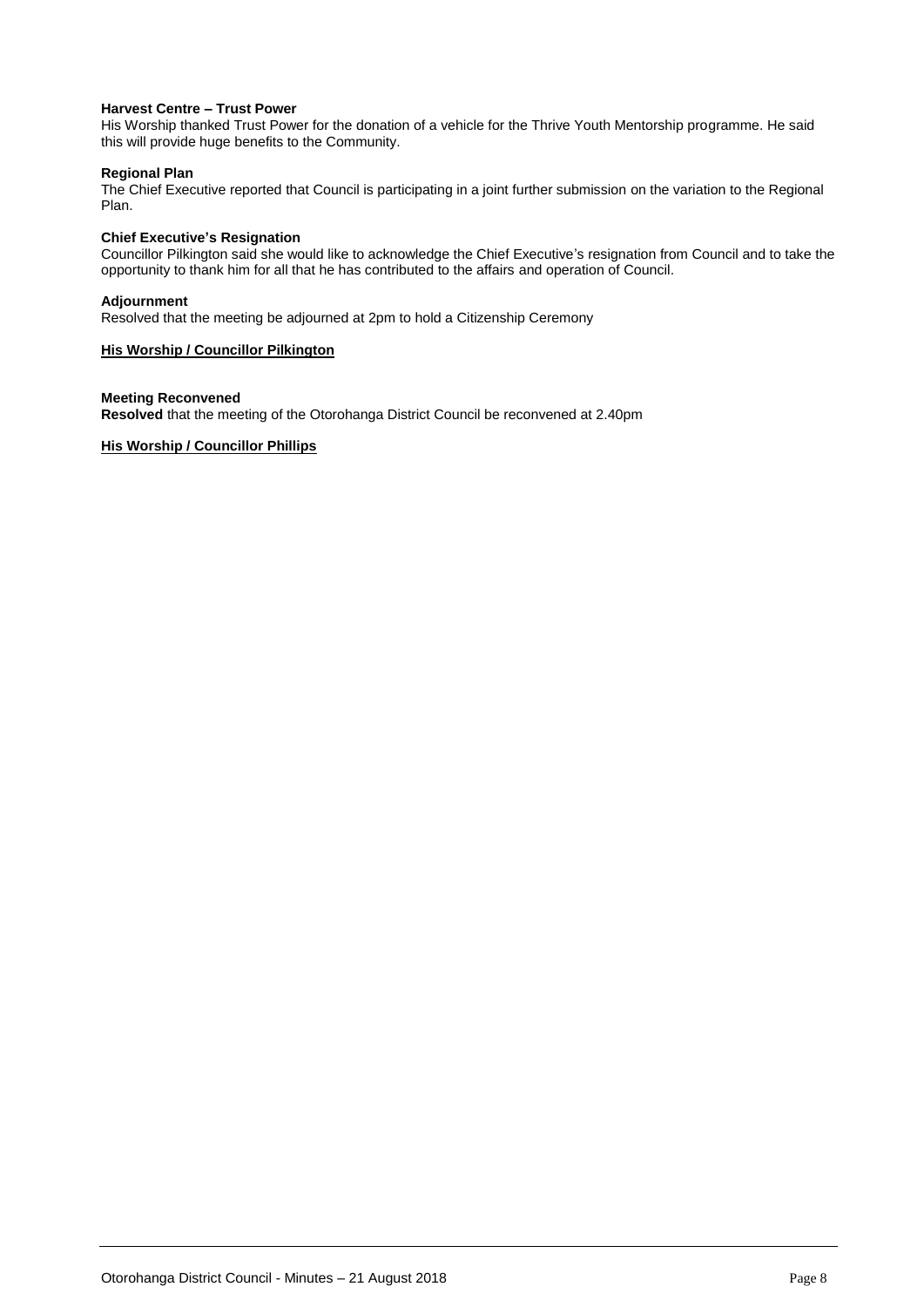#### **Harvest Centre – Trust Power**

His Worship thanked Trust Power for the donation of a vehicle for the Thrive Youth Mentorship programme. He said this will provide huge benefits to the Community.

#### **Regional Plan**

The Chief Executive reported that Council is participating in a joint further submission on the variation to the Regional Plan.

#### **Chief Executive's Resignation**

Councillor Pilkington said she would like to acknowledge the Chief Executive's resignation from Council and to take the opportunity to thank him for all that he has contributed to the affairs and operation of Council.

#### **Adjournment**

Resolved that the meeting be adjourned at 2pm to hold a Citizenship Ceremony

#### **His Worship / Councillor Pilkington**

#### **Meeting Reconvened**

**Resolved** that the meeting of the Otorohanga District Council be reconvened at 2.40pm

#### **His Worship / Councillor Phillips**